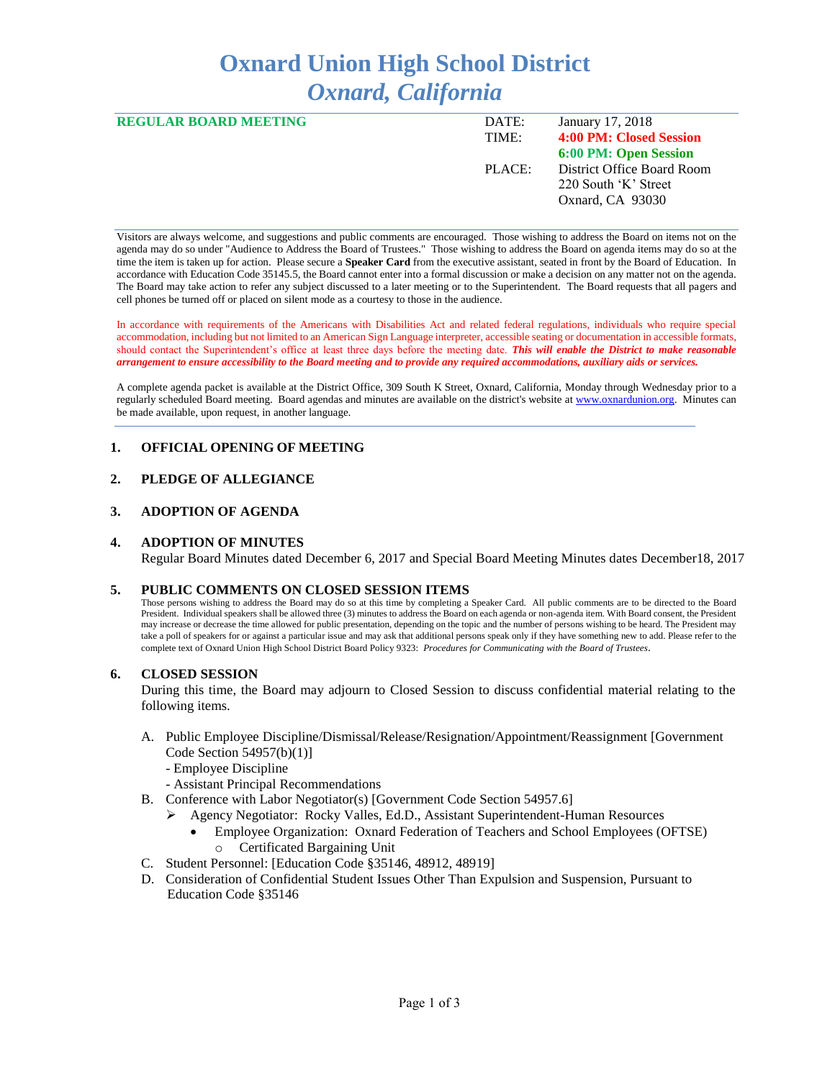# **Oxnard Union High School District** *Oxnard, California*

| <b>REGULAR BOARD MEETING</b> | DATE:  | January 17, 2018             |
|------------------------------|--------|------------------------------|
|                              | TIME:  | 4:00 PM: Closed Session      |
|                              |        | <b>6:00 PM: Open Session</b> |
|                              | PLACE: | District Office Board Room   |
|                              |        | 220 South 'K' Street         |
|                              |        | Oxnard, CA 93030             |
|                              |        |                              |

Visitors are always welcome, and suggestions and public comments are encouraged. Those wishing to address the Board on items not on the agenda may do so under "Audience to Address the Board of Trustees." Those wishing to address the Board on agenda items may do so at the time the item is taken up for action. Please secure a **Speaker Card** from the executive assistant, seated in front by the Board of Education. In accordance with Education Code 35145.5, the Board cannot enter into a formal discussion or make a decision on any matter not on the agenda. The Board may take action to refer any subject discussed to a later meeting or to the Superintendent. The Board requests that all pagers and cell phones be turned off or placed on silent mode as a courtesy to those in the audience.

In accordance with requirements of the Americans with Disabilities Act and related federal regulations, individuals who require special accommodation, including but not limited to an American Sign Language interpreter, accessible seating or documentation in accessible formats, should contact the Superintendent's office at least three days before the meeting date. *This will enable the District to make reasonable arrangement to ensure accessibility to the Board meeting and to provide any required accommodations, auxiliary aids or services.* 

A complete agenda packet is available at the District Office, 309 South K Street, Oxnard, California, Monday through Wednesday prior to a regularly scheduled Board meeting. Board agendas and minutes are available on the district's website a[t www.oxnardunion.org.](http://www.oxnardunion.org/)Minutes can be made available, upon request, in another language.

## **1. OFFICIAL OPENING OF MEETING**

# **2. PLEDGE OF ALLEGIANCE**

#### **3. ADOPTION OF AGENDA**

#### **4. ADOPTION OF MINUTES**

Regular Board Minutes dated December 6, 2017 and Special Board Meeting Minutes dates December18, 2017

#### **5. PUBLIC COMMENTS ON CLOSED SESSION ITEMS**

Those persons wishing to address the Board may do so at this time by completing a Speaker Card. All public comments are to be directed to the Board President. Individual speakers shall be allowed three (3) minutes to address the Board on each agenda or non-agenda item. With Board consent, the President may increase or decrease the time allowed for public presentation, depending on the topic and the number of persons wishing to be heard. The President may take a poll of speakers for or against a particular issue and may ask that additional persons speak only if they have something new to add. Please refer to the complete text of Oxnard Union High School District Board Policy 9323: *Procedures for Communicating with the Board of Trustees*.

## **6. CLOSED SESSION**

During this time, the Board may adjourn to Closed Session to discuss confidential material relating to the following items.

- A. Public Employee Discipline/Dismissal/Release/Resignation/Appointment/Reassignment [Government Code Section 54957(b)(1)]
	- Employee Discipline
	- Assistant Principal Recommendations
- B. Conference with Labor Negotiator(s) [Government Code Section 54957.6]
	- ➢ Agency Negotiator: Rocky Valles, Ed.D., Assistant Superintendent-Human Resources
		- Employee Organization: Oxnard Federation of Teachers and School Employees (OFTSE) Certificated Bargaining Unit
- C. Student Personnel: [Education Code §35146, 48912, 48919]
- D. Consideration of Confidential Student Issues Other Than Expulsion and Suspension, Pursuant to Education Code §35146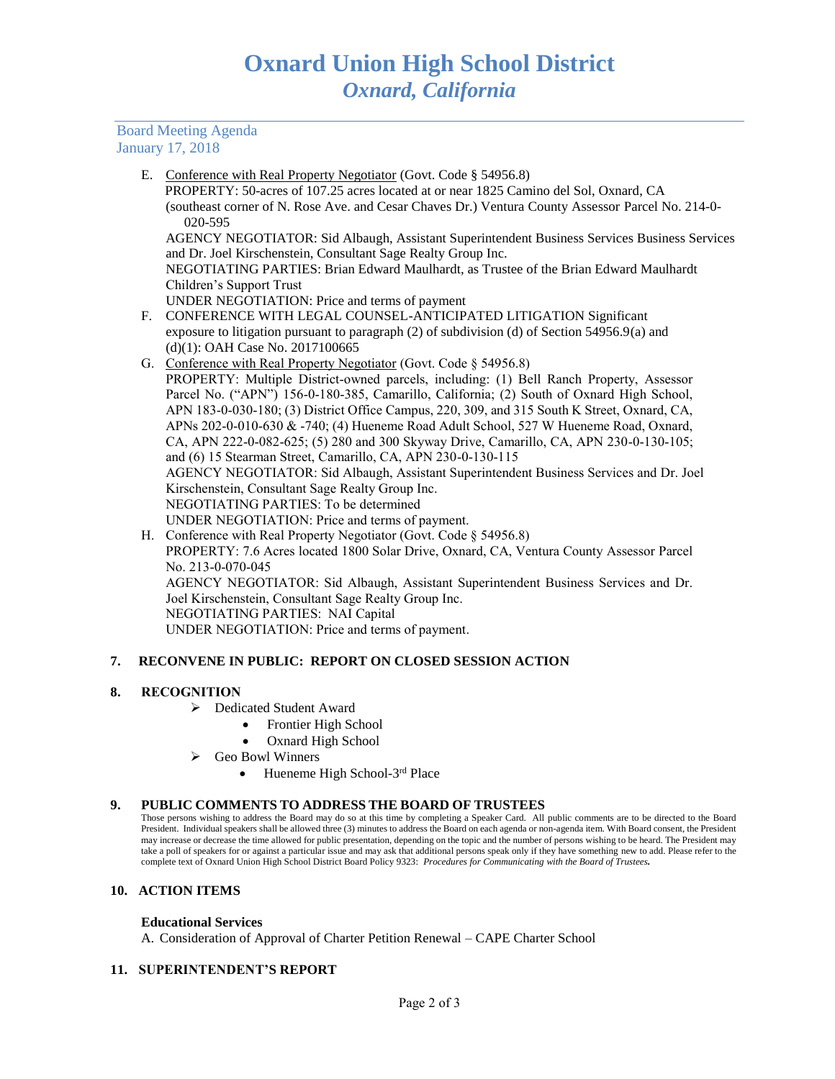Board Meeting Agenda January 17, 2018

E. Conference with Real Property Negotiator (Govt. Code § 54956.8)

 PROPERTY: 50-acres of 107.25 acres located at or near 1825 Camino del Sol, Oxnard, CA (southeast corner of N. Rose Ave. and Cesar Chaves Dr.) Ventura County Assessor Parcel No. 214-0- 020-595

AGENCY NEGOTIATOR: Sid Albaugh, Assistant Superintendent Business Services Business Services and Dr. Joel Kirschenstein, Consultant Sage Realty Group Inc.

NEGOTIATING PARTIES: Brian Edward Maulhardt, as Trustee of the Brian Edward Maulhardt Children's Support Trust

UNDER NEGOTIATION: Price and terms of payment

- F. CONFERENCE WITH LEGAL COUNSEL-ANTICIPATED LITIGATION Significant exposure to litigation pursuant to paragraph (2) of subdivision (d) of Section 54956.9(a) and (d)(1): OAH Case No. 2017100665
- G. Conference with Real Property Negotiator (Govt. Code § 54956.8) PROPERTY: Multiple District-owned parcels, including: (1) Bell Ranch Property, Assessor Parcel No. ("APN") 156-0-180-385, Camarillo, California; (2) South of Oxnard High School, APN 183-0-030-180; (3) District Office Campus, 220, 309, and 315 South K Street, Oxnard, CA, APNs 202-0-010-630 & -740; (4) Hueneme Road Adult School, 527 W Hueneme Road, Oxnard, CA, APN 222-0-082-625; (5) 280 and 300 Skyway Drive, Camarillo, CA, APN 230-0-130-105; and (6) 15 Stearman Street, Camarillo, CA, APN 230-0-130-115 AGENCY NEGOTIATOR: Sid Albaugh, Assistant Superintendent Business Services and Dr. Joel Kirschenstein, Consultant Sage Realty Group Inc. NEGOTIATING PARTIES: To be determined UNDER NEGOTIATION: Price and terms of payment.
- H. Conference with Real Property Negotiator (Govt. Code § 54956.8) PROPERTY: 7.6 Acres located 1800 Solar Drive, Oxnard, CA, Ventura County Assessor Parcel No. 213-0-070-045 AGENCY NEGOTIATOR: Sid Albaugh, Assistant Superintendent Business Services and Dr. Joel Kirschenstein, Consultant Sage Realty Group Inc. NEGOTIATING PARTIES: NAI Capital UNDER NEGOTIATION: Price and terms of payment.

# **7. RECONVENE IN PUBLIC: REPORT ON CLOSED SESSION ACTION**

## **8. RECOGNITION**

- ➢ Dedicated Student Award
	- Frontier High School
	- Oxnard High School
- ➢ Geo Bowl Winners
	- $\bullet$  Hueneme High School-3<sup>rd</sup> Place

#### **9. PUBLIC COMMENTS TO ADDRESS THE BOARD OF TRUSTEES**

Those persons wishing to address the Board may do so at this time by completing a Speaker Card. All public comments are to be directed to the Board President. Individual speakers shall be allowed three (3) minutes to address the Board on each agenda or non-agenda item. With Board consent, the President may increase or decrease the time allowed for public presentation, depending on the topic and the number of persons wishing to be heard. The President may take a poll of speakers for or against a particular issue and may ask that additional persons speak only if they have something new to add. Please refer to the complete text of Oxnard Union High School District Board Policy 9323: *Procedures for Communicating with the Board of Trustees.*

## **10. ACTION ITEMS**

## **Educational Services**

A. Consideration of Approval of Charter Petition Renewal – CAPE Charter School

# **11. SUPERINTENDENT'S REPORT**